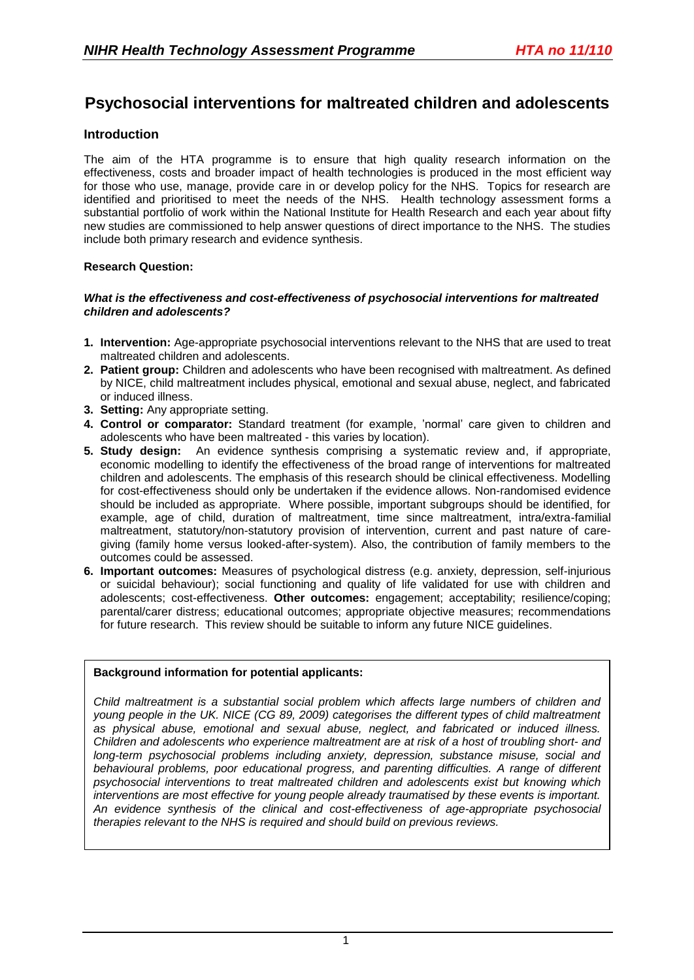# **Psychosocial interventions for maltreated children and adolescents**

# **Introduction**

The aim of the HTA programme is to ensure that high quality research information on the effectiveness, costs and broader impact of health technologies is produced in the most efficient way for those who use, manage, provide care in or develop policy for the NHS. Topics for research are identified and prioritised to meet the needs of the NHS. Health technology assessment forms a substantial portfolio of work within the National Institute for Health Research and each year about fifty new studies are commissioned to help answer questions of direct importance to the NHS. The studies include both primary research and evidence synthesis.

#### **Research Question:**

#### *What is the effectiveness and cost-effectiveness of psychosocial interventions for maltreated children and adolescents?*

- **1. Intervention:** Age-appropriate psychosocial interventions relevant to the NHS that are used to treat maltreated children and adolescents.
- **2. Patient group:** Children and adolescents who have been recognised with maltreatment. As defined by NICE, child maltreatment includes physical, emotional and sexual abuse, neglect, and fabricated or induced illness.
- **3. Setting:** Any appropriate setting.
- **4. Control or comparator:** Standard treatment (for example, 'normal' care given to children and adolescents who have been maltreated - this varies by location).
- **5. Study design:** An evidence synthesis comprising a systematic review and, if appropriate, economic modelling to identify the effectiveness of the broad range of interventions for maltreated children and adolescents. The emphasis of this research should be clinical effectiveness. Modelling for cost-effectiveness should only be undertaken if the evidence allows. Non-randomised evidence should be included as appropriate. Where possible, important subgroups should be identified, for example, age of child, duration of maltreatment, time since maltreatment, intra/extra-familial maltreatment, statutory/non-statutory provision of intervention, current and past nature of caregiving (family home versus looked-after-system). Also, the contribution of family members to the outcomes could be assessed.
- **6. Important outcomes:** Measures of psychological distress (e.g. anxiety, depression, self-injurious or suicidal behaviour); social functioning and quality of life validated for use with children and adolescents; cost-effectiveness. **Other outcomes:** engagement; acceptability; resilience/coping; parental/carer distress; educational outcomes; appropriate objective measures; recommendations for future research. This review should be suitable to inform any future NICE guidelines.

# **Background information for potential applicants:**

*Child maltreatment is a substantial social problem which affects large numbers of children and young people in the UK. NICE (CG 89, 2009) categorises the different types of child maltreatment as physical abuse, emotional and sexual abuse, neglect, and fabricated or induced illness. Children and adolescents who experience maltreatment are at risk of a host of troubling short- and long-term psychosocial problems including anxiety, depression, substance misuse, social and behavioural problems, poor educational progress, and parenting difficulties. A range of different psychosocial interventions to treat maltreated children and adolescents exist but knowing which interventions are most effective for young people already traumatised by these events is important. An evidence synthesis of the clinical and cost-effectiveness of age-appropriate psychosocial therapies relevant to the NHS is required and should build on previous reviews.*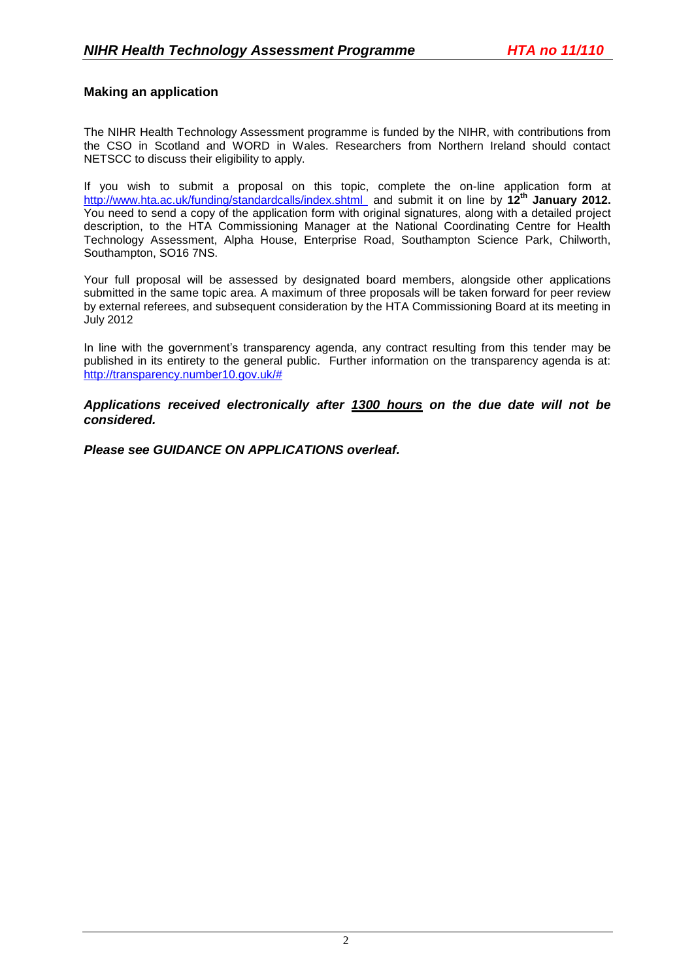#### **Making an application**

The NIHR Health Technology Assessment programme is funded by the NIHR, with contributions from the CSO in Scotland and WORD in Wales. Researchers from Northern Ireland should contact NETSCC to discuss their eligibility to apply.

If you wish to submit a proposal on this topic, complete the on-line application form at <http://www.hta.ac.uk/funding/standardcalls/index.shtml> and submit it on line by **12th January 2012.** You need to send a copy of the application form with original signatures, along with a detailed project description, to the HTA Commissioning Manager at the National Coordinating Centre for Health Technology Assessment, Alpha House, Enterprise Road, Southampton Science Park, Chilworth, Southampton, SO16 7NS.

Your full proposal will be assessed by designated board members, alongside other applications submitted in the same topic area. A maximum of three proposals will be taken forward for peer review by external referees, and subsequent consideration by the HTA Commissioning Board at its meeting in July 2012

In line with the government's transparency agenda, any contract resulting from this tender may be published in its entirety to the general public. Further information on the transparency agenda is at: [http://transparency.number10.gov.uk/#](http://transparency.number10.gov.uk/)

*Applications received electronically after 1300 hours on the due date will not be considered.*

*Please see GUIDANCE ON APPLICATIONS overleaf.*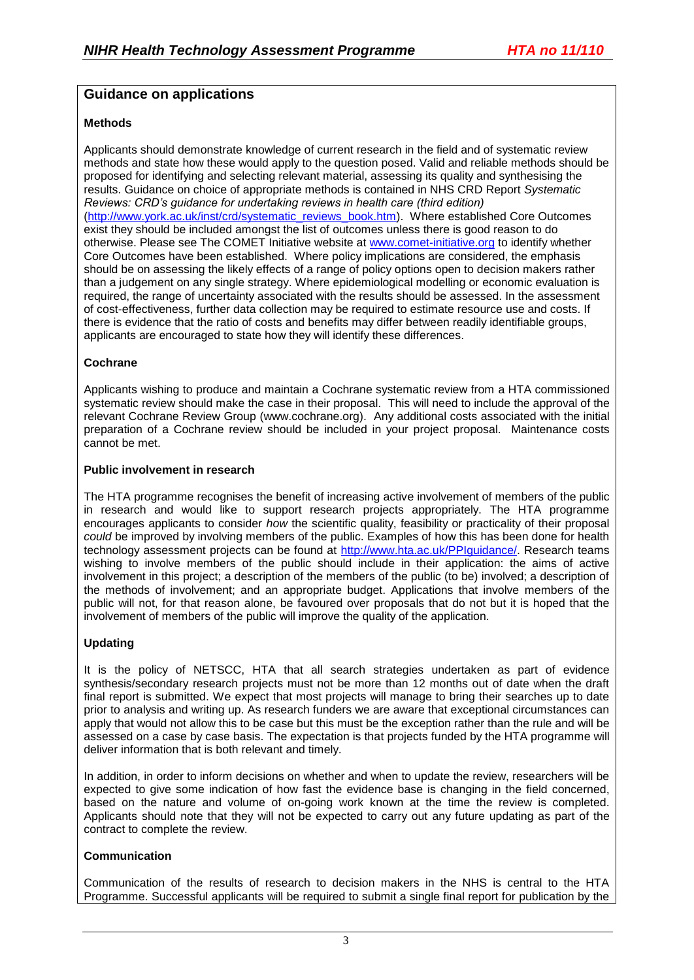# **Guidance on applications**

#### **Methods**

Applicants should demonstrate knowledge of current research in the field and of systematic review methods and state how these would apply to the question posed. Valid and reliable methods should be proposed for identifying and selecting relevant material, assessing its quality and synthesising the results. Guidance on choice of appropriate methods is contained in NHS CRD Report *Systematic Reviews: CRD's guidance for undertaking reviews in health care (third edition)* [\(http://www.york.ac.uk/inst/crd/systematic\\_reviews\\_book.htm\)](http://www.york.ac.uk/inst/crd/systematic_reviews_book.htm). Where established Core Outcomes exist they should be included amongst the list of outcomes unless there is good reason to do otherwise. Please see The COMET Initiative website at [www.comet-initiative.org](http://www.comet-initiative.org/) to identify whether Core Outcomes have been established. Where policy implications are considered, the emphasis should be on assessing the likely effects of a range of policy options open to decision makers rather than a judgement on any single strategy. Where epidemiological modelling or economic evaluation is required, the range of uncertainty associated with the results should be assessed. In the assessment of cost-effectiveness, further data collection may be required to estimate resource use and costs. If there is evidence that the ratio of costs and benefits may differ between readily identifiable groups, applicants are encouraged to state how they will identify these differences.

#### **Cochrane**

Applicants wishing to produce and maintain a Cochrane systematic review from a HTA commissioned systematic review should make the case in their proposal. This will need to include the approval of the relevant Cochrane Review Group (www.cochrane.org). Any additional costs associated with the initial preparation of a Cochrane review should be included in your project proposal. Maintenance costs cannot be met.

#### **Public involvement in research**

The HTA programme recognises the benefit of increasing active involvement of members of the public in research and would like to support research projects appropriately. The HTA programme encourages applicants to consider *how* the scientific quality, feasibility or practicality of their proposal *could* be improved by involving members of the public. Examples of how this has been done for health technology assessment projects can be found at [http://www.hta.ac.uk/PPIguidance/.](http://www.hta.ac.uk/PPIguidance/) Research teams wishing to involve members of the public should include in their application: the aims of active involvement in this project; a description of the members of the public (to be) involved; a description of the methods of involvement; and an appropriate budget. Applications that involve members of the public will not, for that reason alone, be favoured over proposals that do not but it is hoped that the involvement of members of the public will improve the quality of the application.

# **Updating**

It is the policy of NETSCC, HTA that all search strategies undertaken as part of evidence synthesis/secondary research projects must not be more than 12 months out of date when the draft final report is submitted. We expect that most projects will manage to bring their searches up to date prior to analysis and writing up. As research funders we are aware that exceptional circumstances can apply that would not allow this to be case but this must be the exception rather than the rule and will be assessed on a case by case basis. The expectation is that projects funded by the HTA programme will deliver information that is both relevant and timely.

In addition, in order to inform decisions on whether and when to update the review, researchers will be expected to give some indication of how fast the evidence base is changing in the field concerned, based on the nature and volume of on-going work known at the time the review is completed. Applicants should note that they will not be expected to carry out any future updating as part of the contract to complete the review.

# **Communication**

Communication of the results of research to decision makers in the NHS is central to the HTA Programme. Successful applicants will be required to submit a single final report for publication by the